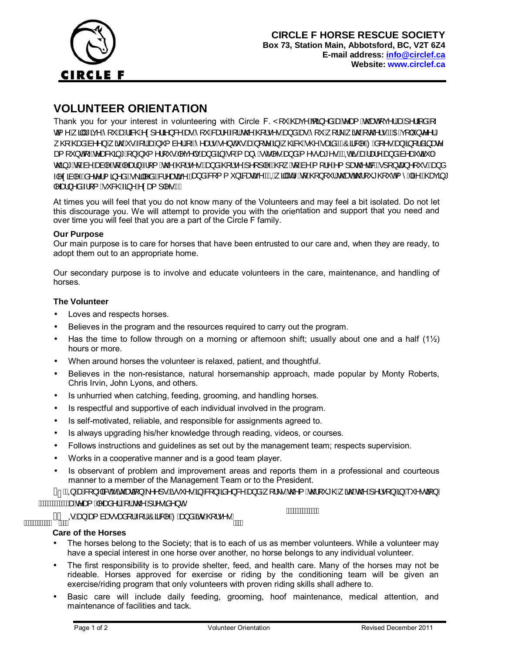

# **VOLUNTEER ORIENTATION**

Thank you for your interest in volunteering with Circle F. Y [ \' A Dee \A & A a A a A a A C \ A \ { & A \ | { & A \ -GEI ^Á EUÁLEX^Á [ˇÁÐÁLERQÁN) ^¦ði}&^ÁÐBÁ [ˇÁRÐA^Á ¦ÁGO2ÁQ ¦•^•ÁÐJåÁÐBÁ [ˇÁ [¦∖Á ãrQÁN c@ ¦•ÈÁNDÉN [ǐ}c^^¦Á QiÁQBoàÁa∧^}Á,ãoQÁ •Á{¦ÁæÁj {à^¦Át-Ár^æl•Ár^}cÁ •ÁæÁ∣c^Á∃Á, QB&QÁ+QZÁaBÁDÄÖÁ3&l^ÁQÁå[^•ÁæJÁã[¦åã)æc^ as[Y}on[√e^as&@3|\*n[}Aj'{^¦['•n[^c^|•n[as}ån[Ajn[Ajas}^nloc}|venhas}ån{^e•ast^•mDhanashasholas}an{as}^asica¥|A 0@4\*Ath&nAsainAthAras}Ail{An@A@i•^•Bas}aA@i•^Ai^l||^B@1.Ath&nAil¦^Ailas@ca8BAil}cas}^|`•Bas}a H^cân |^ BÂn c^¦{ ā ^ åBh\åB&}^aean^Ban}åAs[{ `}ā&ean^BAQkjan}As^An{4Qp}[`¦Ao@eanko2]`\* @j^oh{^Aan BA@eanaj\* Mad}^åÁl{ Á &@Áa}^Á¢as{ | M.

At times you will feel that you do not know many of the Volunteers and may feel a bit isolated. Do not let this discourage you. We will attempt to provide you with the orientation and support that you need and over time you will feel that you are a part of the Circle F family.

## **Our Purpose**

Our main purpose is to care for horses that have been entrusted to our care and, when they are ready, to adopt them out to an appropriate home.

Our secondary purpose is to involve and educate volunteers in the care, maintenance, and handling of horses.

## **The Volunteer**

- Loves and respects horses.
- Believes in the program and the resources required to carry out the program.
- Has the time to follow through on a morning or afternoon shift; usually about one and a half  $(1/2)$ hours or more.
- When around horses the volunteer is relaxed, patient, and thoughtful.
- Believes in the non-resistance, natural horsemanship approach, made popular by Monty Roberts, Chris Irvin, John Lyons, and others.
- Is unhurried when catching, feeding, grooming, and handling horses.
- Is respectful and supportive of each individual involved in the program.
- Is self-motivated, reliable, and responsible for assignments agreed to.
- Is always upgrading his/her knowledge through reading, videos, or courses.
- Follows instructions and guidelines as set out by the management team; respects supervision.
- Works in a cooperative manner and is a good team player.

AWWW.COMPORTING ARE CORECTED THE 1889 MAGAZING AND COMPORTING A ANGELIA ANGELIA ANGELIA AWARD ANGELIA AWARD AN<br>AWAWWELLUFTO

• Is observant of problem and improvement areas and reports them in a professional and courteous manner to a member of the Management Team or to the President.

 ,QDFRQIOLFWVLWXDWLRQNHHSVLVVXHVLQFRQILGHQFHDQGZRUNVWKHPWKURXJKZLWKWKHSHUVRQLQTXHVWLRQ WWW.Windered Araan<sup>1</sup>日前1.4com A1-mein7dE

**ANNANNANNANA** 

# **Care of the Horses**

- The horses belong to the Society; that is to each of us as member volunteers. While a volunteer may have a special interest in one horse over another, no horse belongs to any individual volunteer.
- The first responsibility is to provide shelter, feed, and health care. Many of the horses may not be rideable. Horses approved for exercise or riding by the conditioning team will be given an exercise/riding program that only volunteers with proven riding skills shall adhere to.
- Basic care will include daily feeding, grooming, hoof maintenance, medical attention, and maintenance of facilities and tack.